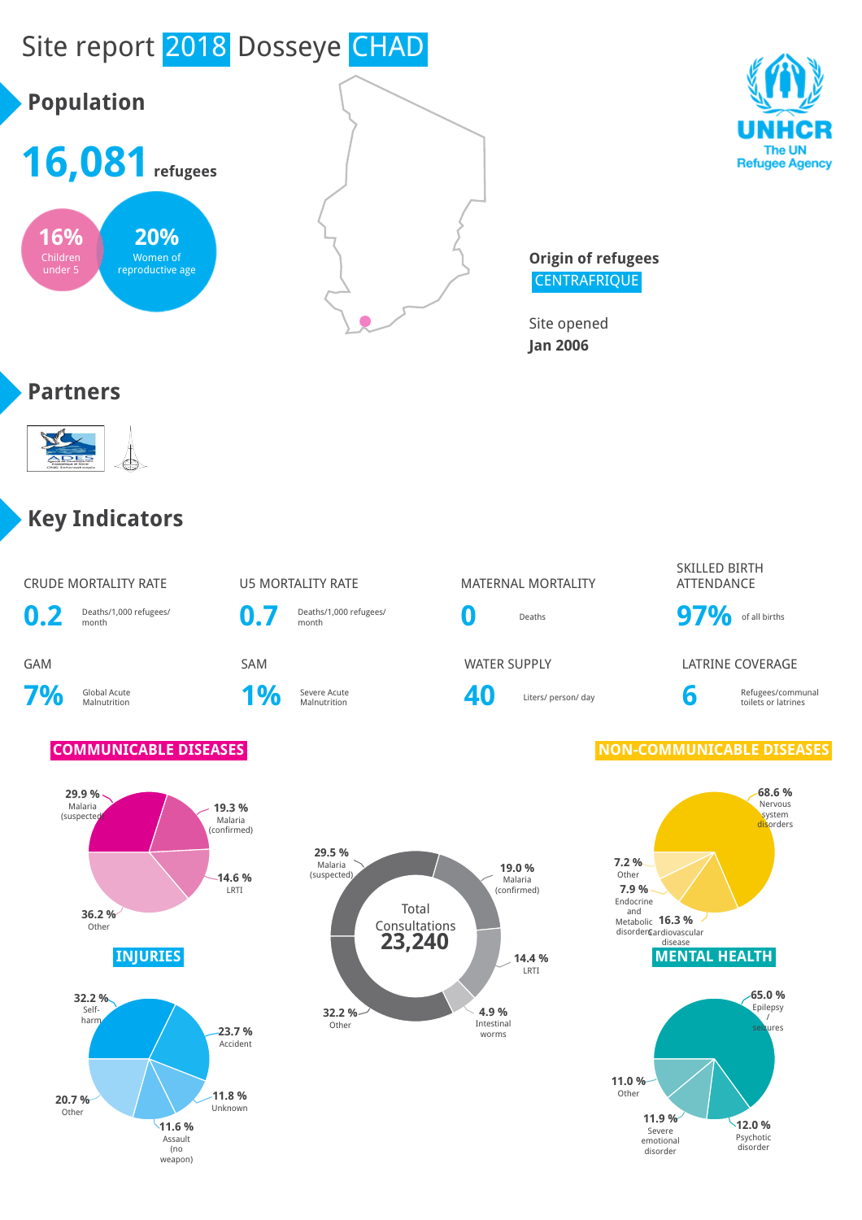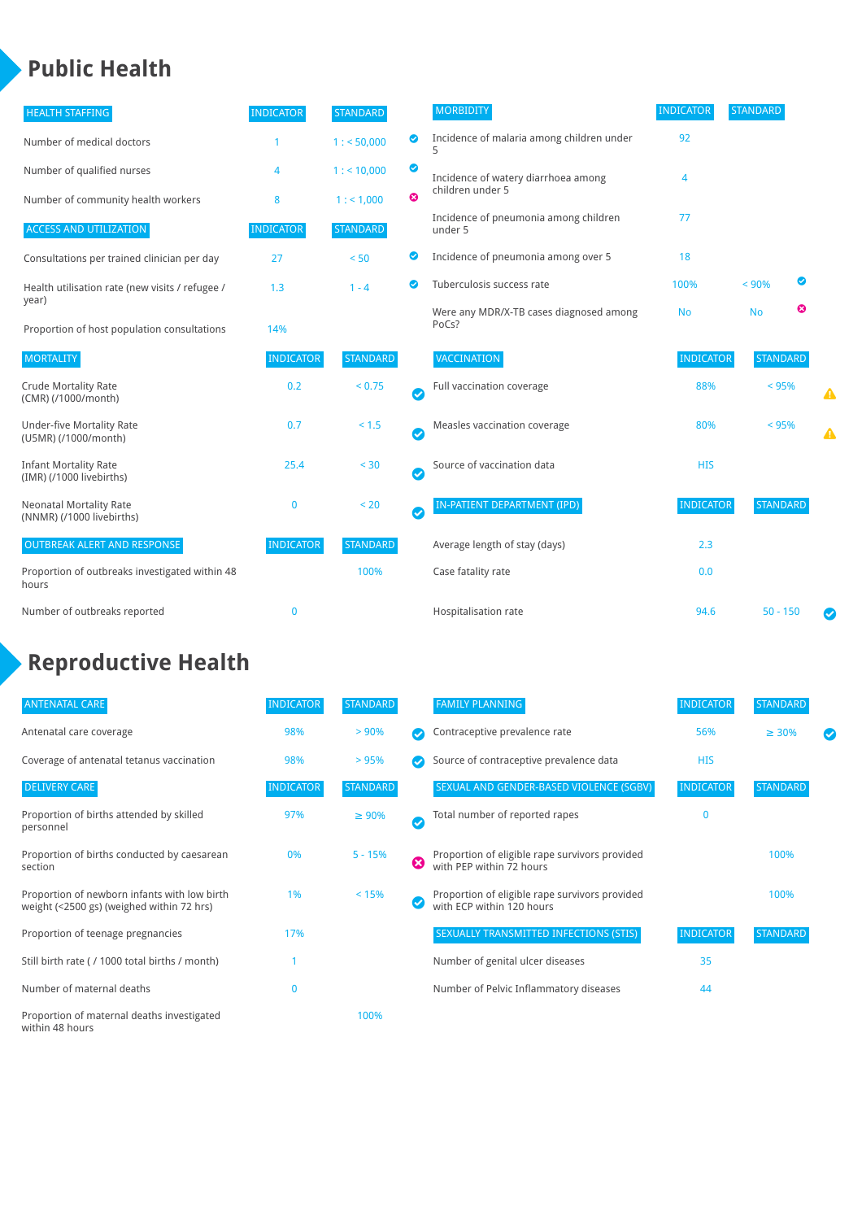### **Public Health**

| <b>HEALTH STAFFING</b>                                      | <b>INDICATOR</b> | <b>STANDARD</b> |           | <b>MORBIDITY</b>                                 | <b>INDICATOR</b> | <b>STANDARD</b> |   |   |
|-------------------------------------------------------------|------------------|-----------------|-----------|--------------------------------------------------|------------------|-----------------|---|---|
| Number of medical doctors                                   |                  | 1: 50,000       | ◎         | Incidence of malaria among children under        | 92               |                 |   |   |
| Number of qualified nurses                                  | 4                | $1:$ < 10,000   | ◙         | Incidence of watery diarrhoea among              | 4                |                 |   |   |
| Number of community health workers                          | 8                | 1: 1,000        | ೞ         | children under 5                                 |                  |                 |   |   |
| <b>ACCESS AND UTILIZATION</b>                               | <b>INDICATOR</b> | <b>STANDARD</b> |           | Incidence of pneumonia among children<br>under 5 | 77               |                 |   |   |
| Consultations per trained clinician per day                 | 27               | < 50            | Ø         | Incidence of pneumonia among over 5              | 18               |                 |   |   |
| Health utilisation rate (new visits / refugee /             | 1.3              | $1 - 4$         |           | Tuberculosis success rate                        | 100%             | < 90%           | ◙ |   |
| year)<br>Proportion of host population consultations        | 14%              |                 |           | Were any MDR/X-TB cases diagnosed among<br>PoCs? | <b>No</b>        | <b>No</b>       | ☺ |   |
| <b>MORTALITY</b>                                            | <b>INDICATOR</b> | <b>STANDARD</b> |           | VACCINATION                                      | <b>INDICATOR</b> | <b>STANDARD</b> |   |   |
| <b>Crude Mortality Rate</b><br>(CMR) (/1000/month)          | 0.2              | < 0.75          | $\bullet$ | Full vaccination coverage                        | 88%              | $< 95\%$        |   | ▲ |
| <b>Under-five Mortality Rate</b><br>(U5MR) (/1000/month)    | 0.7              | < 1.5           | $\bullet$ | Measles vaccination coverage                     | 80%              | < 95%           |   | Δ |
| <b>Infant Mortality Rate</b><br>(IMR) (/1000 livebirths)    | 25.4             | < 30            | $\bullet$ | Source of vaccination data                       | <b>HIS</b>       |                 |   |   |
| <b>Neonatal Mortality Rate</b><br>(NNMR) (/1000 livebirths) | $\mathbf 0$      | < 20            | $\bullet$ | <b>IN-PATIENT DEPARTMENT (IPD)</b>               | <b>INDICATOR</b> | <b>STANDARD</b> |   |   |
| <b>OUTBREAK ALERT AND RESPONSE</b>                          | <b>INDICATOR</b> | <b>STANDARD</b> |           | Average length of stay (days)                    | 2.3              |                 |   |   |
| Proportion of outbreaks investigated within 48<br>hours     |                  | 100%            |           | Case fatality rate                               | 0.0              |                 |   |   |
| Number of outbreaks reported                                | $\mathbf{0}$     |                 |           | Hospitalisation rate                             | 94.6             | $50 - 150$      |   |   |

# **Reproductive Health**

| <b>ANTENATAL CARE</b>                                                                     | <b>INDICATOR</b> | <b>STANDARD</b> |   | <b>FAMILY PLANNING</b>                                                      | <b>INDICATOR</b> | <b>STANDARD</b> |  |
|-------------------------------------------------------------------------------------------|------------------|-----------------|---|-----------------------------------------------------------------------------|------------------|-----------------|--|
| Antenatal care coverage                                                                   | 98%              | > 90%           |   | Contraceptive prevalence rate                                               | 56%              | $\geq 30\%$     |  |
| Coverage of antenatal tetanus vaccination                                                 | 98%              | > 95%           |   | Source of contraceptive prevalence data                                     | <b>HIS</b>       |                 |  |
| <b>DELIVERY CARE</b>                                                                      | <b>INDICATOR</b> | STANDARD        |   | SEXUAL AND GENDER-BASED VIOLENCE (SGBV)                                     | <b>INDICATOR</b> | <b>STANDARD</b> |  |
| Proportion of births attended by skilled<br>personnel                                     | 97%              | $\geq 90\%$     |   | Total number of reported rapes                                              | $\Omega$         |                 |  |
| Proportion of births conducted by caesarean<br>section                                    | 0%               | $5 - 15%$       | ☺ | Proportion of eligible rape survivors provided<br>with PEP within 72 hours  |                  | 100%            |  |
| Proportion of newborn infants with low birth<br>weight (<2500 gs) (weighed within 72 hrs) | 1%               | < 15%           |   | Proportion of eligible rape survivors provided<br>with ECP within 120 hours |                  | 100%            |  |
| Proportion of teenage pregnancies                                                         | 17%              |                 |   | SEXUALLY TRANSMITTED INFECTIONS (STIS)                                      | <b>INDICATOR</b> | <b>STANDARD</b> |  |
| Still birth rate (/1000 total births / month)                                             |                  |                 |   | Number of genital ulcer diseases                                            | 35               |                 |  |
| Number of maternal deaths                                                                 | 0                |                 |   | Number of Pelvic Inflammatory diseases                                      | 44               |                 |  |
| Proportion of maternal deaths investigated<br>within 48 hours                             |                  | 100%            |   |                                                                             |                  |                 |  |